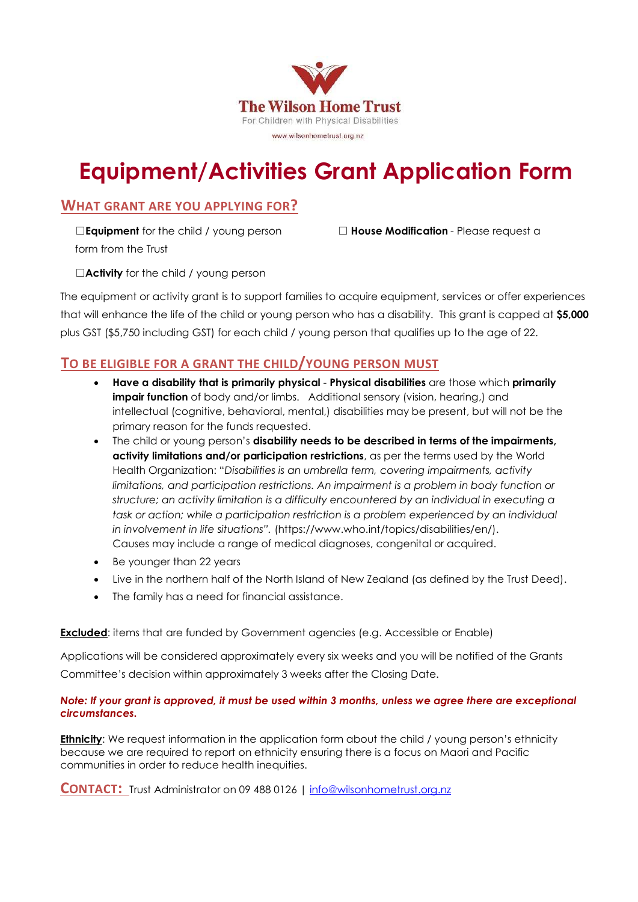

# Equipment/Activities Grant Application Form

# WHAT GRANT ARE YOU APPLYING FOR?

**□Equipment** for the child / young person □ House Modification - Please request a form from the Trust

□**Activity** for the child / young person

The equipment or activity grant is to support families to acquire equipment, services or offer experiences that will enhance the life of the child or young person who has a disability. This grant is capped at \$5,000 plus GST (\$5,750 including GST) for each child / young person that qualifies up to the age of 22.

# TO BE ELIGIBLE FOR A GRANT THE CHILD/YOUNG PERSON MUST

- Have a disability that is primarily physical Physical disabilities are those which primarily impair function of body and/or limbs. Additional sensory (vision, hearing,) and intellectual (cognitive, behavioral, mental,) disabilities may be present, but will not be the primary reason for the funds requested.
- The child or young person's disability needs to be described in terms of the impairments, activity limitations and/or participation restrictions, as per the terms used by the World Health Organization: "Disabilities is an umbrella term, covering impairments, activity limitations, and participation restrictions. An impairment is a problem in body function or structure; an activity limitation is a difficulty encountered by an individual in executing a task or action; while a participation restriction is a problem experienced by an individual in involvement in life situations". (https://www.who.int/topics/disabilities/en/). Causes may include a range of medical diagnoses, congenital or acquired.
- Be younger than 22 years
- Live in the northern half of the North Island of New Zealand (as defined by the Trust Deed).
- The family has a need for financial assistance.

# **Excluded:** items that are funded by Government agencies (e.g. Accessible or Enable)

Applications will be considered approximately every six weeks and you will be notified of the Grants Committee's decision within approximately 3 weeks after the Closing Date.

#### Note: If your grant is approved, it must be used within 3 months, unless we agree there are exceptional circumstances.

**Ethnicity:** We request information in the application form about the child / young person's ethnicity because we are required to report on ethnicity ensuring there is a focus on Maori and Pacific communities in order to reduce health inequities.

CONTACT: Trust Administrator on 09 488 0126 | info@wilsonhometrust.org.nz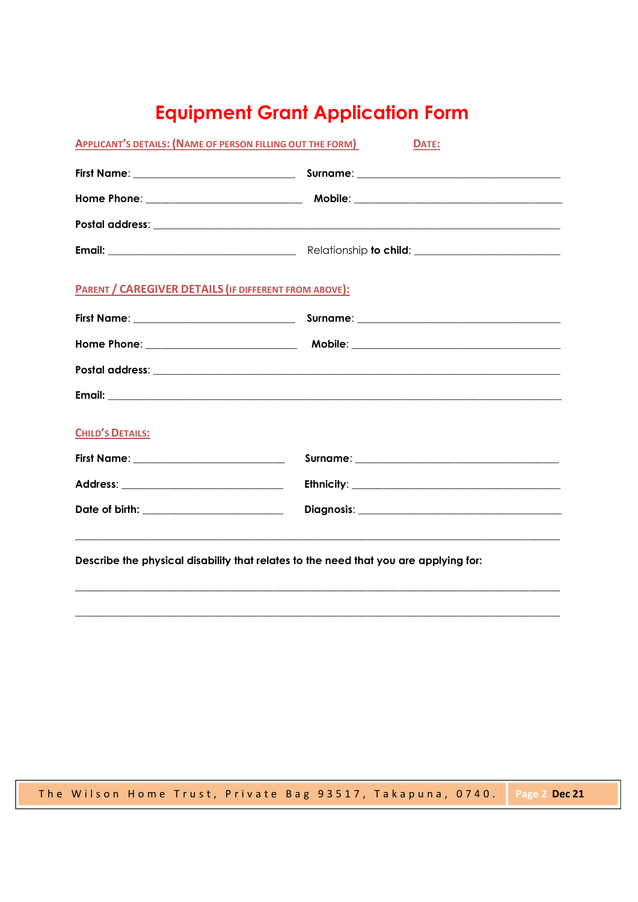# **Equipment Grant Application Form**

| <b>APPLICANT'S DETAILS: (NAME OF PERSON FILLING OUT THE FORM)</b> | DATE: |
|-------------------------------------------------------------------|-------|
|                                                                   |       |
|                                                                   |       |
|                                                                   |       |
|                                                                   |       |
| <b>PARENT / CAREGIVER DETAILS (IF DIFFERENT FROM ABOVE):</b>      |       |
|                                                                   |       |
|                                                                   |       |
|                                                                   |       |
|                                                                   |       |
| <b>CHILD'S DETAILS:</b>                                           |       |
| First Name: _____________________________                         |       |
|                                                                   |       |
| Date of birth: _________________________                          |       |
|                                                                   |       |

Describe the physical disability that relates to the need that you are applying for:

The Wilson Home Trust, Private Bag 93517, Takapuna, 0740. Page 2 Dec 21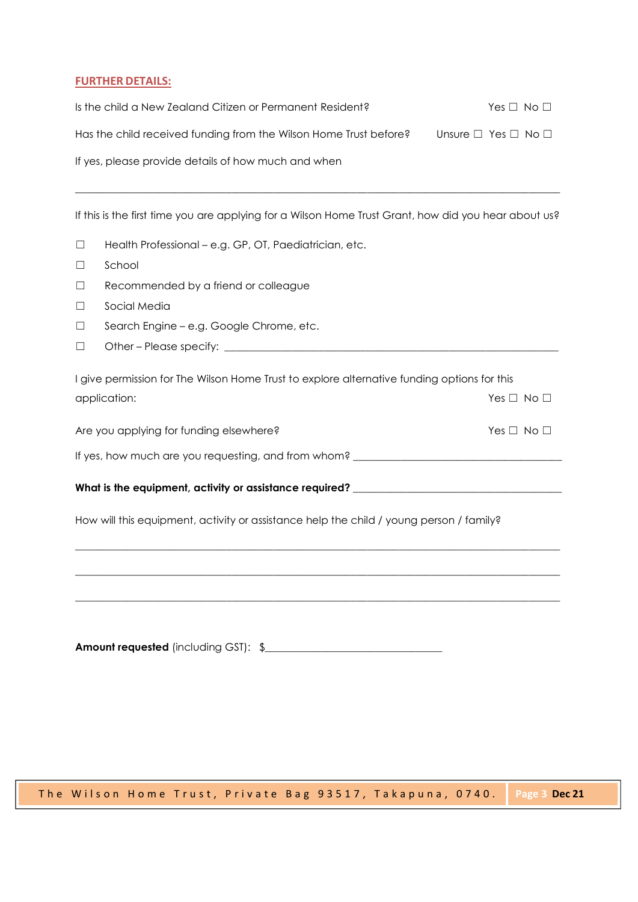#### FURTHER DETAILS:

| Is the child a New Zealand Citizen or Permanent Resident?         | Yes $\Box$ No $\Box$               |  |
|-------------------------------------------------------------------|------------------------------------|--|
| Has the child received funding from the Wilson Home Trust before? | Unsure $\Box$ Yes $\Box$ No $\Box$ |  |
| If yes, please provide details of how much and when               |                                    |  |
|                                                                   |                                    |  |

If this is the first time you are applying for a Wilson Home Trust Grant, how did you hear about us?

- ☐ Health Professional e.g. GP, OT, Paediatrician, etc.
- ☐ School
- ☐ Recommended by a friend or colleague
- ☐ Social Media
- ☐ Search Engine e.g. Google Chrome, etc.
- ☐ Other Please specify: \_\_\_\_\_\_\_\_\_\_\_\_\_\_\_\_\_\_\_\_\_\_\_\_\_\_\_\_\_\_\_\_\_\_\_\_\_\_\_\_\_\_\_\_\_\_\_\_\_\_\_\_\_\_\_\_\_\_\_\_\_\_\_\_

| I give permission for The Wilson Home Trust to explore alternative funding options for this |                    |
|---------------------------------------------------------------------------------------------|--------------------|
| application:                                                                                | $Yes \Box No \Box$ |
|                                                                                             |                    |

Are you applying for funding elsewhere? The set of the set of the SN on the SN on the No □

If yes, how much are you requesting, and from whom? \_\_\_\_\_\_\_\_\_\_\_\_\_\_\_\_\_\_\_\_\_\_\_\_\_\_\_\_\_\_\_\_\_\_\_\_\_\_\_\_

What is the equipment, activity or assistance required?<br>How will this equipment, activity or assistance help the child / young person / family?

Amount requested (including GST): \$\_\_\_\_\_\_\_\_\_\_\_\_\_\_\_\_\_\_\_\_\_\_\_\_\_\_\_\_\_\_\_\_\_\_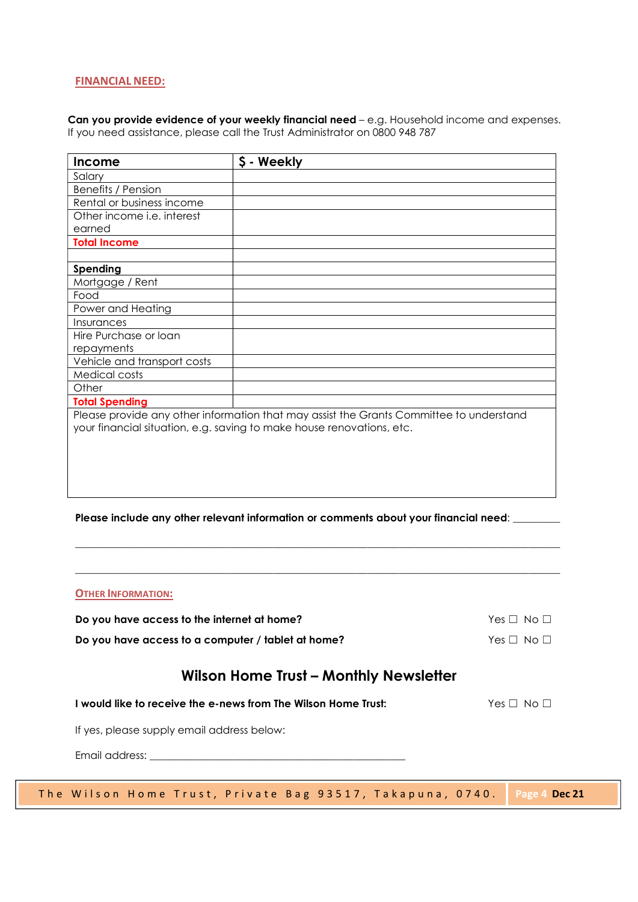#### FINANCIAL NEED:

Can you provide evidence of your weekly financial need - e.g. Household income and expenses. If you need assistance, please call the Trust Administrator on 0800 948 787

| Income                      | \$ - Weekly                                                                                                                                                      |
|-----------------------------|------------------------------------------------------------------------------------------------------------------------------------------------------------------|
| Salary                      |                                                                                                                                                                  |
| Benefits / Pension          |                                                                                                                                                                  |
| Rental or business income   |                                                                                                                                                                  |
| Other income i.e. interest  |                                                                                                                                                                  |
| earned                      |                                                                                                                                                                  |
| <b>Total Income</b>         |                                                                                                                                                                  |
|                             |                                                                                                                                                                  |
| Spending                    |                                                                                                                                                                  |
| Mortgage / Rent             |                                                                                                                                                                  |
| Food                        |                                                                                                                                                                  |
| Power and Heating           |                                                                                                                                                                  |
| Insurances                  |                                                                                                                                                                  |
| Hire Purchase or loan       |                                                                                                                                                                  |
| repayments                  |                                                                                                                                                                  |
| Vehicle and transport costs |                                                                                                                                                                  |
| Medical costs               |                                                                                                                                                                  |
| Other                       |                                                                                                                                                                  |
| <b>Total Spending</b>       |                                                                                                                                                                  |
|                             | Please provide any other information that may assist the Grants Committee to understand<br>your financial situation, e.g. saving to make house renovations, etc. |

#### Please include any other relevant information or comments about your financial need: \_\_\_\_\_

| <b>OTHER INFORMATION:</b> |
|---------------------------|
|---------------------------|

Do you have access to the internet at home?  $Y \cap \Box$  Yes  $\Box$  No  $\Box$ 

Do you have access to a computer / tablet at home?  $Y \in \Box \ \Diamond \Box$ 

# Wilson Home Trust – Monthly Newsletter

I would like to receive the e-news from The Wilson Home Trust: Yes □ No □

If yes, please supply email address below:

Email address: \_\_\_\_\_\_\_\_\_\_\_\_\_\_\_\_\_\_\_\_\_\_\_\_\_\_\_\_\_\_\_\_\_\_\_\_\_\_\_\_\_\_\_\_\_\_\_\_\_

The My interaction of the Misconne of the Misconne of the Misconne of the Misconne of the Misconne of the Wilson Home Trust – Monthly Newsletter<br>
I would like to receive the e-news from The Wilson Home Trust.<br>
If yes, ple